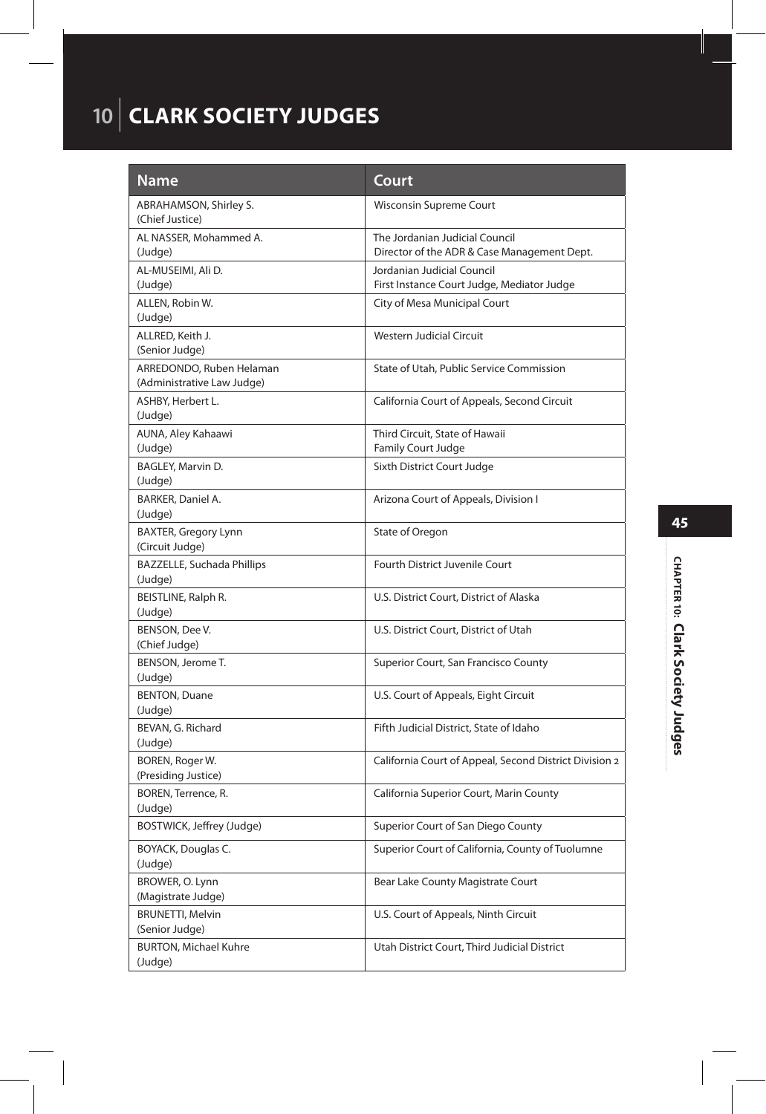### **10** | **CLARK SOCIETY JUDGES**

| Name                                                   | Court                                                                         |
|--------------------------------------------------------|-------------------------------------------------------------------------------|
| ABRAHAMSON, Shirley S.<br>(Chief Justice)              | <b>Wisconsin Supreme Court</b>                                                |
| AL NASSER, Mohammed A.<br>(Judge)                      | The Jordanian Judicial Council<br>Director of the ADR & Case Management Dept. |
| AL-MUSEIMI, Ali D.<br>(Judge)                          | Jordanian Judicial Council<br>First Instance Court Judge, Mediator Judge      |
| ALLEN, Robin W.<br>(Judge)                             | City of Mesa Municipal Court                                                  |
| ALLRED, Keith J.<br>(Senior Judge)                     | <b>Western Judicial Circuit</b>                                               |
| ARREDONDO, Ruben Helaman<br>(Administrative Law Judge) | State of Utah, Public Service Commission                                      |
| ASHBY, Herbert L.<br>(Judge)                           | California Court of Appeals, Second Circuit                                   |
| AUNA, Aley Kahaawi<br>(Judge)                          | Third Circuit, State of Hawaii<br>Family Court Judge                          |
| BAGLEY, Marvin D.<br>(Judge)                           | Sixth District Court Judge                                                    |
| BARKER, Daniel A.<br>(Judge)                           | Arizona Court of Appeals, Division I                                          |
| <b>BAXTER, Gregory Lynn</b><br>(Circuit Judge)         | State of Oregon                                                               |
| <b>BAZZELLE, Suchada Phillips</b><br>(Judge)           | Fourth District Juvenile Court                                                |
| BEISTLINE, Ralph R.<br>(Judge)                         | U.S. District Court, District of Alaska                                       |
| BENSON, Dee V.<br>(Chief Judge)                        | U.S. District Court, District of Utah                                         |
| BENSON, Jerome T.<br>(Judge)                           | Superior Court, San Francisco County                                          |
| <b>BENTON, Duane</b><br>(Judge)                        | U.S. Court of Appeals, Eight Circuit                                          |
| BEVAN, G. Richard<br>(Judge)                           | Fifth Judicial District, State of Idaho                                       |
| BOREN, Roger W.<br>(Presiding Justice)                 | California Court of Appeal, Second District Division 2                        |
| BOREN, Terrence, R.<br>(Judge)                         | California Superior Court, Marin County                                       |
| BOSTWICK, Jeffrey (Judge)                              | Superior Court of San Diego County                                            |
| BOYACK, Douglas C.<br>(Judge)                          | Superior Court of California, County of Tuolumne                              |
| BROWER, O. Lynn<br>(Magistrate Judge)                  | Bear Lake County Magistrate Court                                             |
| <b>BRUNETTI, Melvin</b>                                | U.S. Court of Appeals, Ninth Circuit                                          |
| (Senior Judge)                                         |                                                                               |
| <b>BURTON, Michael Kuhre</b><br>(Judge)                | Utah District Court, Third Judicial District                                  |

### CHAPTER 10: Clark Society Judges **CHAPTER 10: Clark Society Judges**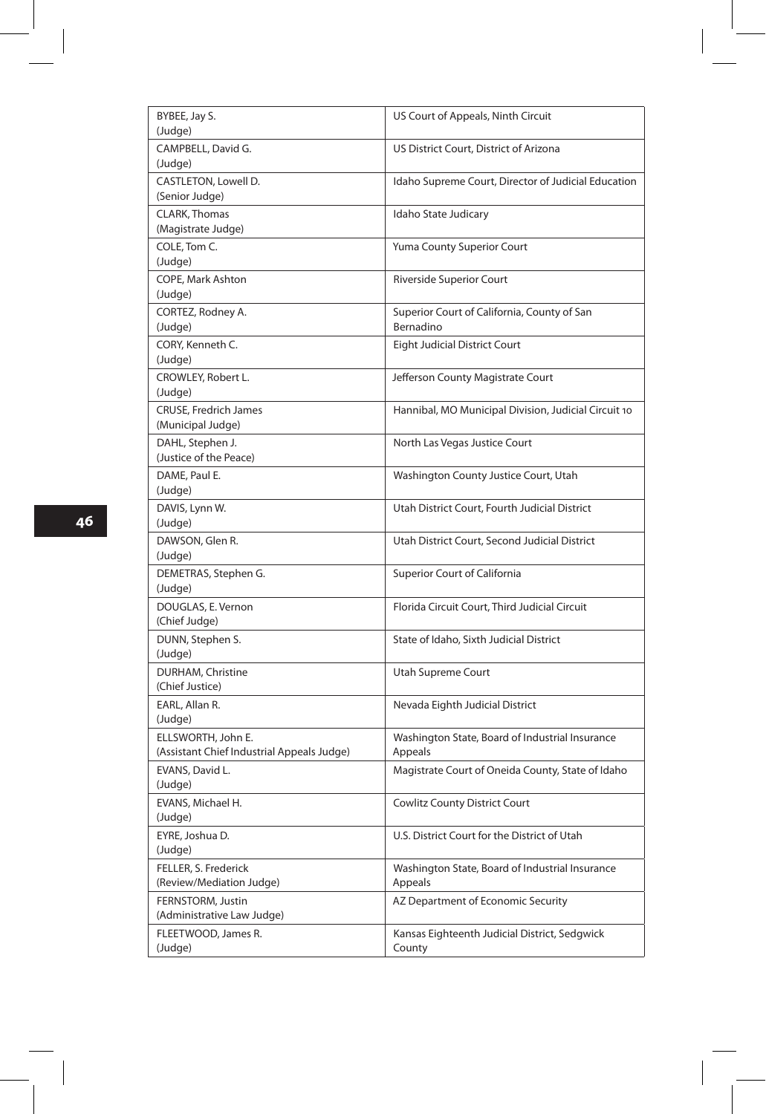| BYBEE, Jay S.<br>(Judge)                                         | US Court of Appeals, Ninth Circuit                         |
|------------------------------------------------------------------|------------------------------------------------------------|
| CAMPBELL, David G.<br>(Judge)                                    | US District Court, District of Arizona                     |
| CASTLETON, Lowell D.<br>(Senior Judge)                           | Idaho Supreme Court, Director of Judicial Education        |
| CLARK, Thomas<br>(Magistrate Judge)                              | Idaho State Judicary                                       |
| COLE, Tom C.<br>(Judge)                                          | Yuma County Superior Court                                 |
| COPE, Mark Ashton<br>(Judge)                                     | Riverside Superior Court                                   |
| CORTEZ, Rodney A.<br>(Judge)                                     | Superior Court of California, County of San<br>Bernadino   |
| CORY, Kenneth C.<br>(Judge)                                      | <b>Eight Judicial District Court</b>                       |
| CROWLEY, Robert L.<br>(Judge)                                    | Jefferson County Magistrate Court                          |
| <b>CRUSE, Fredrich James</b><br>(Municipal Judge)                | Hannibal, MO Municipal Division, Judicial Circuit 10       |
| DAHL, Stephen J.<br>(Justice of the Peace)                       | North Las Vegas Justice Court                              |
| DAME, Paul E.<br>(Judge)                                         | Washington County Justice Court, Utah                      |
| DAVIS, Lynn W.<br>(Judge)                                        | Utah District Court, Fourth Judicial District              |
| DAWSON, Glen R.<br>(Judge)                                       | Utah District Court, Second Judicial District              |
| DEMETRAS, Stephen G.<br>(Judge)                                  | <b>Superior Court of California</b>                        |
| DOUGLAS, E. Vernon<br>(Chief Judge)                              | Florida Circuit Court, Third Judicial Circuit              |
| DUNN, Stephen S.<br>(Judge)                                      | State of Idaho, Sixth Judicial District                    |
| DURHAM, Christine<br>(Chief Justice)                             | Utah Supreme Court                                         |
| EARL, Allan R.<br>(Judge)                                        | Nevada Eighth Judicial District                            |
| ELLSWORTH, John E.<br>(Assistant Chief Industrial Appeals Judge) | Washington State, Board of Industrial Insurance<br>Appeals |
| EVANS, David L.<br>(Judge)                                       | Magistrate Court of Oneida County, State of Idaho          |
| EVANS, Michael H.<br>(Judge)                                     | <b>Cowlitz County District Court</b>                       |
| EYRE, Joshua D.<br>(Judge)                                       | U.S. District Court for the District of Utah               |
| FELLER, S. Frederick<br>(Review/Mediation Judge)                 | Washington State, Board of Industrial Insurance<br>Appeals |
| FERNSTORM, Justin<br>(Administrative Law Judge)                  | AZ Department of Economic Security                         |
| FLEETWOOD, James R.<br>(Judge)                                   | Kansas Eighteenth Judicial District, Sedgwick<br>County    |

 $\overline{\phantom{a}}$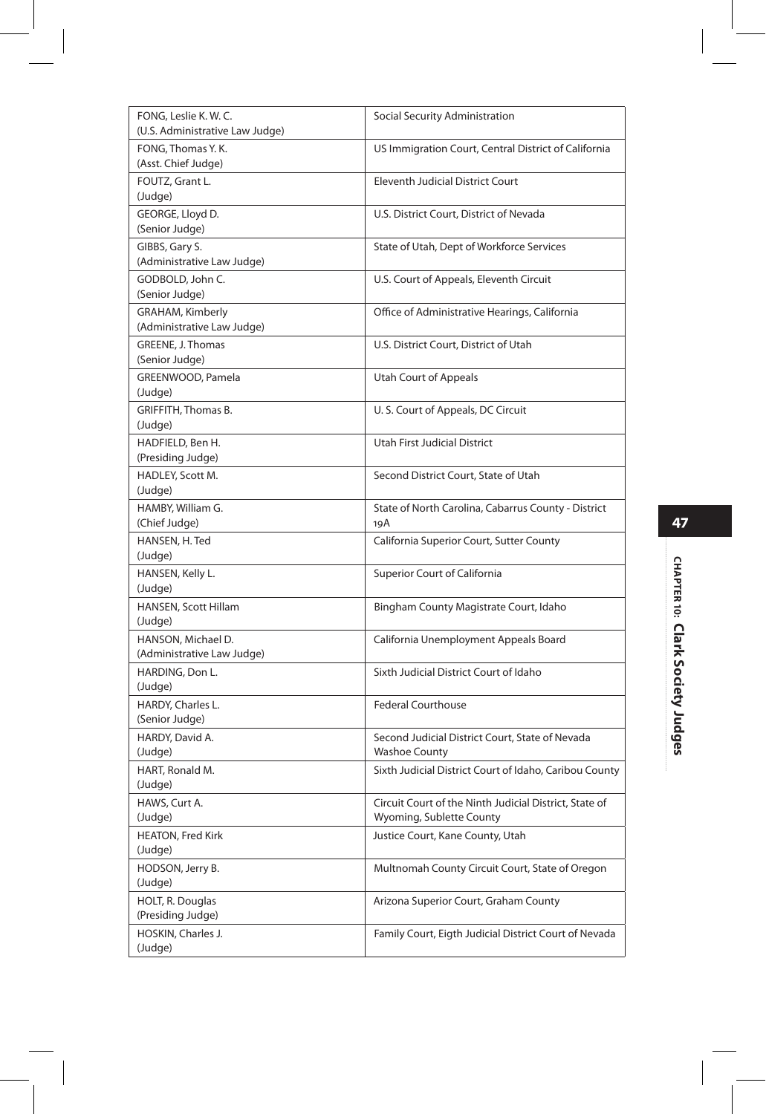| FONG, Leslie K. W. C.<br>(U.S. Administrative Law Judge) | Social Security Administration                                                     |
|----------------------------------------------------------|------------------------------------------------------------------------------------|
| FONG, Thomas Y.K.<br>(Asst. Chief Judge)                 | US Immigration Court, Central District of California                               |
| FOUTZ, Grant L.<br>(Judge)                               | <b>Eleventh Judicial District Court</b>                                            |
| GEORGE, Lloyd D.<br>(Senior Judge)                       | U.S. District Court, District of Nevada                                            |
| GIBBS, Gary S.<br>(Administrative Law Judge)             | State of Utah, Dept of Workforce Services                                          |
| GODBOLD, John C.<br>(Senior Judge)                       | U.S. Court of Appeals, Eleventh Circuit                                            |
| GRAHAM, Kimberly<br>(Administrative Law Judge)           | Office of Administrative Hearings, California                                      |
| GREENE, J. Thomas                                        | U.S. District Court, District of Utah                                              |
| (Senior Judge)<br>GREENWOOD, Pamela                      | Utah Court of Appeals                                                              |
| (Judge)<br>GRIFFITH, Thomas B.                           | U.S. Court of Appeals, DC Circuit                                                  |
| (Judge)<br>HADFIELD, Ben H.                              | Utah First Judicial District                                                       |
| (Presiding Judge)<br>HADLEY, Scott M.<br>(Judge)         | Second District Court, State of Utah                                               |
| HAMBY, William G.<br>(Chief Judge)                       | State of North Carolina, Cabarrus County - District<br>19A                         |
| HANSEN, H. Ted<br>(Judge)                                | California Superior Court, Sutter County                                           |
| HANSEN, Kelly L.<br>(Judge)                              | Superior Court of California                                                       |
| HANSEN, Scott Hillam<br>(Judge)                          | Bingham County Magistrate Court, Idaho                                             |
| HANSON, Michael D.<br>(Administrative Law Judge)         | California Unemployment Appeals Board                                              |
| HARDING, Don L.<br>(Judge)                               | Sixth Judicial District Court of Idaho                                             |
| HARDY, Charles L.<br>(Senior Judge)                      | <b>Federal Courthouse</b>                                                          |
| HARDY, David A.<br>(Judge)                               | Second Judicial District Court, State of Nevada<br><b>Washoe County</b>            |
| HART, Ronald M.<br>(Judge)                               | Sixth Judicial District Court of Idaho, Caribou County                             |
| HAWS, Curt A.<br>(Judge)                                 | Circuit Court of the Ninth Judicial District, State of<br>Wyoming, Sublette County |
| <b>HEATON, Fred Kirk</b><br>(Judge)                      | Justice Court, Kane County, Utah                                                   |
| HODSON, Jerry B.<br>(Judge)                              | Multnomah County Circuit Court, State of Oregon                                    |
| HOLT, R. Douglas<br>(Presiding Judge)                    | Arizona Superior Court, Graham County                                              |
| HOSKIN, Charles J.<br>(Judge)                            | Family Court, Eigth Judicial District Court of Nevada                              |
|                                                          |                                                                                    |

I

I

# CHAPTER 10: Clark Society Judges **CHAPTER 10: Clark Society Judges**

ŧ

 $\overline{\phantom{a}}$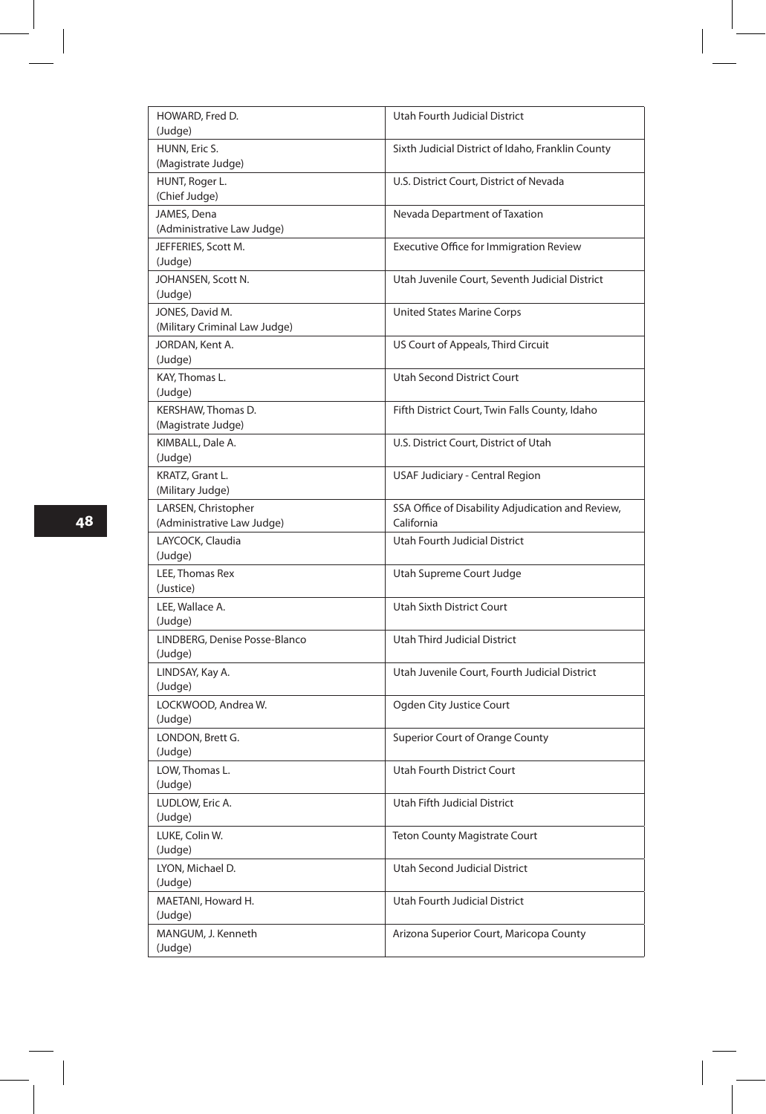| HOWARD, Fred D.                     | Utah Fourth Judicial District                     |
|-------------------------------------|---------------------------------------------------|
| (Judge)                             |                                                   |
| HUNN, Eric S.<br>(Magistrate Judge) | Sixth Judicial District of Idaho, Franklin County |
|                                     |                                                   |
| HUNT, Roger L.<br>(Chief Judge)     | U.S. District Court, District of Nevada           |
| JAMES, Dena                         | Nevada Department of Taxation                     |
| (Administrative Law Judge)          |                                                   |
| JEFFERIES, Scott M.                 | Executive Office for Immigration Review           |
| (Judge)                             |                                                   |
| JOHANSEN, Scott N.                  | Utah Juvenile Court, Seventh Judicial District    |
| (Judge)                             |                                                   |
| JONES, David M.                     | <b>United States Marine Corps</b>                 |
| (Military Criminal Law Judge)       |                                                   |
| JORDAN, Kent A.                     | US Court of Appeals, Third Circuit                |
| (Judge)                             |                                                   |
| KAY, Thomas L.                      | <b>Utah Second District Court</b>                 |
| (Judge)                             |                                                   |
| KERSHAW, Thomas D.                  | Fifth District Court, Twin Falls County, Idaho    |
| (Magistrate Judge)                  |                                                   |
| KIMBALL, Dale A.                    | U.S. District Court, District of Utah             |
| (Judge)                             |                                                   |
| KRATZ, Grant L.                     | <b>USAF Judiciary - Central Region</b>            |
| (Military Judge)                    |                                                   |
| LARSEN, Christopher                 | SSA Office of Disability Adjudication and Review, |
| (Administrative Law Judge)          | California                                        |
| LAYCOCK, Claudia                    | Utah Fourth Judicial District                     |
| (Judge)                             |                                                   |
| LEE. Thomas Rex                     | Utah Supreme Court Judge                          |
| (Justice)                           |                                                   |
| LEE, Wallace A.                     | Utah Sixth District Court                         |
| (Judge)                             |                                                   |
| LINDBERG, Denise Posse-Blanco       | Utah Third Judicial District                      |
| (Judge)                             |                                                   |
| LINDSAY, Kay A.                     | Utah Juvenile Court, Fourth Judicial District     |
| (Judge)                             |                                                   |
| LOCKWOOD, Andrea W.                 | Ogden City Justice Court                          |
| (Judge)                             |                                                   |
| LONDON, Brett G.                    | Superior Court of Orange County                   |
| (Judge)<br>LOW. Thomas L.           |                                                   |
| (Judge)                             | Utah Fourth District Court                        |
| LUDLOW, Eric A.                     | Utah Fifth Judicial District                      |
| (Judge)                             |                                                   |
| LUKE, Colin W.                      | Teton County Magistrate Court                     |
| (Judge)                             |                                                   |
| LYON, Michael D.                    | Utah Second Judicial District                     |
| (Judge)                             |                                                   |
| MAETANI, Howard H.                  | Utah Fourth Judicial District                     |
| (Judge)                             |                                                   |
| MANGUM, J. Kenneth                  | Arizona Superior Court, Maricopa County           |
| (Judge)                             |                                                   |
|                                     |                                                   |

**48**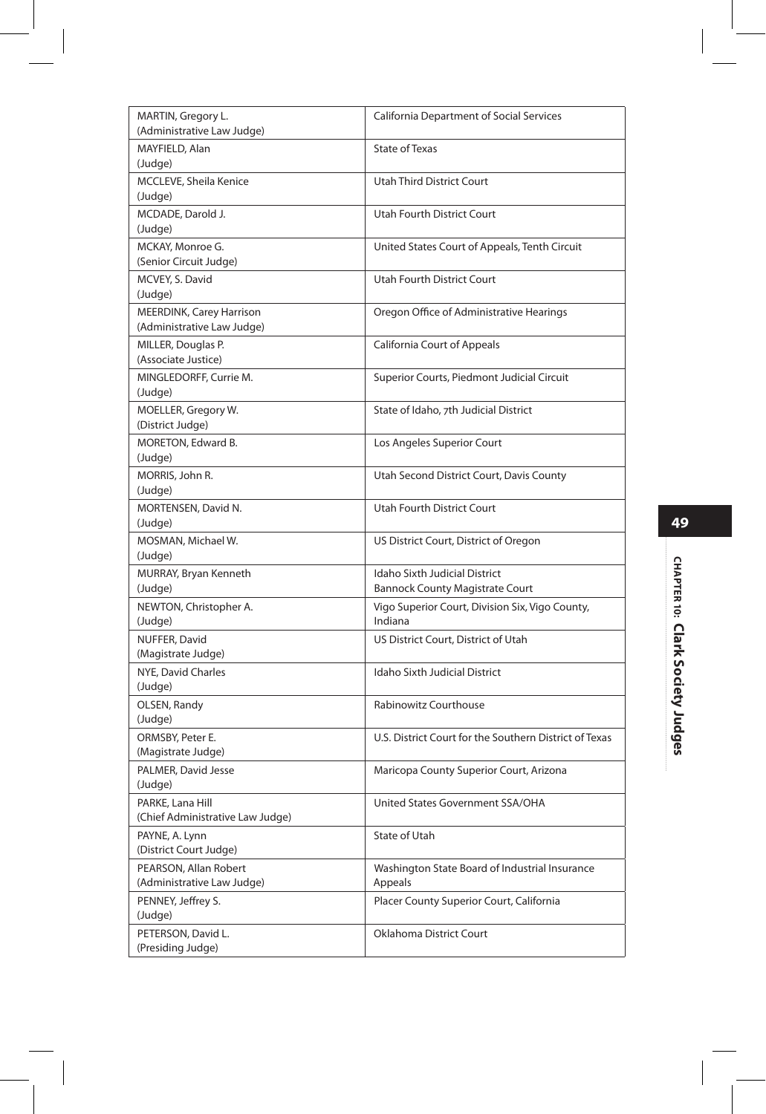| MARTIN, Gregory L.<br>(Administrative Law Judge)              | <b>California Department of Social Services</b>                         |
|---------------------------------------------------------------|-------------------------------------------------------------------------|
| MAYFIELD, Alan<br>(Judge)                                     | <b>State of Texas</b>                                                   |
| MCCLEVE, Sheila Kenice<br>(Judge)                             | <b>Utah Third District Court</b>                                        |
| MCDADE, Darold J.<br>(Judge)                                  | <b>Utah Fourth District Court</b>                                       |
| MCKAY, Monroe G.<br>(Senior Circuit Judge)                    | United States Court of Appeals, Tenth Circuit                           |
| MCVEY, S. David<br>(Judge)                                    | Utah Fourth District Court                                              |
| <b>MEERDINK, Carey Harrison</b><br>(Administrative Law Judge) | Oregon Office of Administrative Hearings                                |
| MILLER, Douglas P.<br>(Associate Justice)                     | California Court of Appeals                                             |
| MINGLEDORFF, Currie M.<br>(Judge)                             | Superior Courts, Piedmont Judicial Circuit                              |
| MOELLER, Gregory W.<br>(District Judge)                       | State of Idaho, 7th Judicial District                                   |
| MORETON, Edward B.<br>(Judge)                                 | Los Angeles Superior Court                                              |
| MORRIS, John R.<br>(Judge)                                    | Utah Second District Court, Davis County                                |
| MORTENSEN, David N.<br>(Judge)                                | <b>Utah Fourth District Court</b>                                       |
| MOSMAN, Michael W.<br>(Judge)                                 | US District Court, District of Oregon                                   |
| MURRAY, Bryan Kenneth<br>(Judge)                              | Idaho Sixth Judicial District<br><b>Bannock County Magistrate Court</b> |
| NEWTON, Christopher A.<br>(Judge)                             | Vigo Superior Court, Division Six, Vigo County,<br>Indiana              |
| NUFFER, David<br>(Magistrate Judge)                           | US District Court, District of Utah                                     |
| NYE, David Charles<br>(Judge)                                 | <b>Idaho Sixth Judicial District</b>                                    |
| OLSEN, Randy<br>(Judge)                                       | Rabinowitz Courthouse                                                   |
| ORMSBY, Peter E.<br>(Magistrate Judge)                        | U.S. District Court for the Southern District of Texas                  |
| PALMER, David Jesse<br>(Judge)                                | Maricopa County Superior Court, Arizona                                 |
| PARKE, Lana Hill<br>(Chief Administrative Law Judge)          | United States Government SSA/OHA                                        |
| PAYNE, A. Lynn<br>(District Court Judge)                      | State of Utah                                                           |
| PEARSON, Allan Robert<br>(Administrative Law Judge)           | Washington State Board of Industrial Insurance<br>Appeals               |
| PENNEY, Jeffrey S.<br>(Judge)                                 | Placer County Superior Court, California                                |
| PETERSON, David L.<br>(Presiding Judge)                       | Oklahoma District Court                                                 |

I

#### **49**

I I

# CHAPTER 10: Clark Society Judges **CHAPTER 10: Clark Society Judges**

ŧ

 $\overline{\phantom{a}}$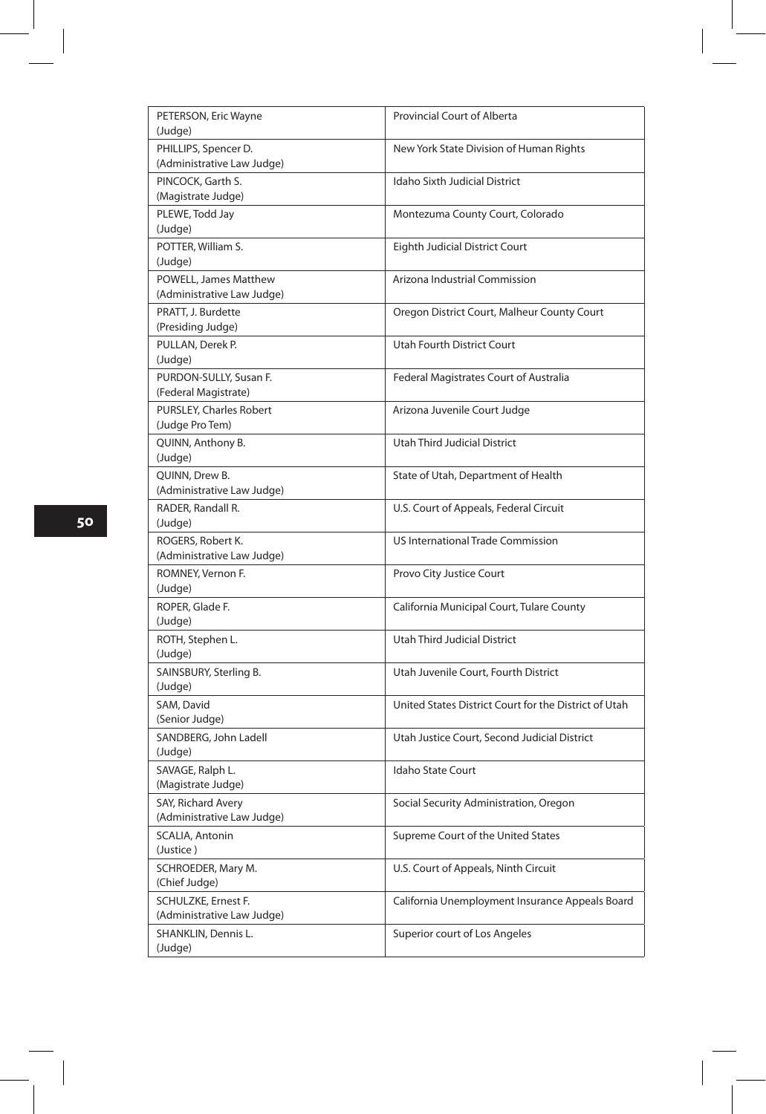| PETERSON, Eric Wayne<br>(Judge)                            | Provincial Court of Alberta                           |
|------------------------------------------------------------|-------------------------------------------------------|
| PHILLIPS, Spencer D.<br>(Administrative Law Judge)         | New York State Division of Human Rights               |
| PINCOCK, Garth S.<br>(Magistrate Judge)                    | <b>Idaho Sixth Judicial District</b>                  |
| PLEWE, Todd Jay<br>(Judge)                                 | Montezuma County Court, Colorado                      |
| POTTER, William S.<br>(Judge)                              | Eighth Judicial District Court                        |
| <b>POWELL, James Matthew</b><br>(Administrative Law Judge) | Arizona Industrial Commission                         |
| PRATT, J. Burdette<br>(Presiding Judge)                    | Oregon District Court, Malheur County Court           |
| PULLAN, Derek P.<br>(Judge)                                | Utah Fourth District Court                            |
| PURDON-SULLY, Susan F.<br>(Federal Magistrate)             | Federal Magistrates Court of Australia                |
| PURSLEY, Charles Robert<br>(Judge Pro Tem)                 | Arizona Juvenile Court Judge                          |
| QUINN, Anthony B.<br>(Judge)                               | Utah Third Judicial District                          |
| QUINN, Drew B.<br>(Administrative Law Judge)               | State of Utah, Department of Health                   |
| RADER, Randall R.<br>(Judge)                               | U.S. Court of Appeals, Federal Circuit                |
| ROGERS, Robert K.<br>(Administrative Law Judge)            | US International Trade Commission                     |
| ROMNEY, Vernon F.<br>(Judge)                               | Provo City Justice Court                              |
| ROPER, Glade F.<br>(Judge)                                 | California Municipal Court, Tulare County             |
| ROTH, Stephen L.<br>(Judge)                                | <b>Utah Third Judicial District</b>                   |
| SAINSBURY, Sterling B.<br>(Judge)                          | Utah Juvenile Court, Fourth District                  |
| SAM, David<br>(Senior Judge)                               | United States District Court for the District of Utah |
| SANDBERG, John Ladell<br>(Judge)                           | Utah Justice Court, Second Judicial District          |
| SAVAGE, Ralph L.<br>(Magistrate Judge)                     | <b>Idaho State Court</b>                              |
| SAY, Richard Avery<br>(Administrative Law Judge)           | Social Security Administration, Oregon                |
| SCALIA, Antonin<br>(Justice)                               | Supreme Court of the United States                    |
| SCHROEDER, Mary M.<br>(Chief Judge)                        | U.S. Court of Appeals, Ninth Circuit                  |
| SCHULZKE, Ernest F.<br>(Administrative Law Judge)          | California Unemployment Insurance Appeals Board       |
| SHANKLIN, Dennis L.<br>(Judge)                             | Superior court of Los Angeles                         |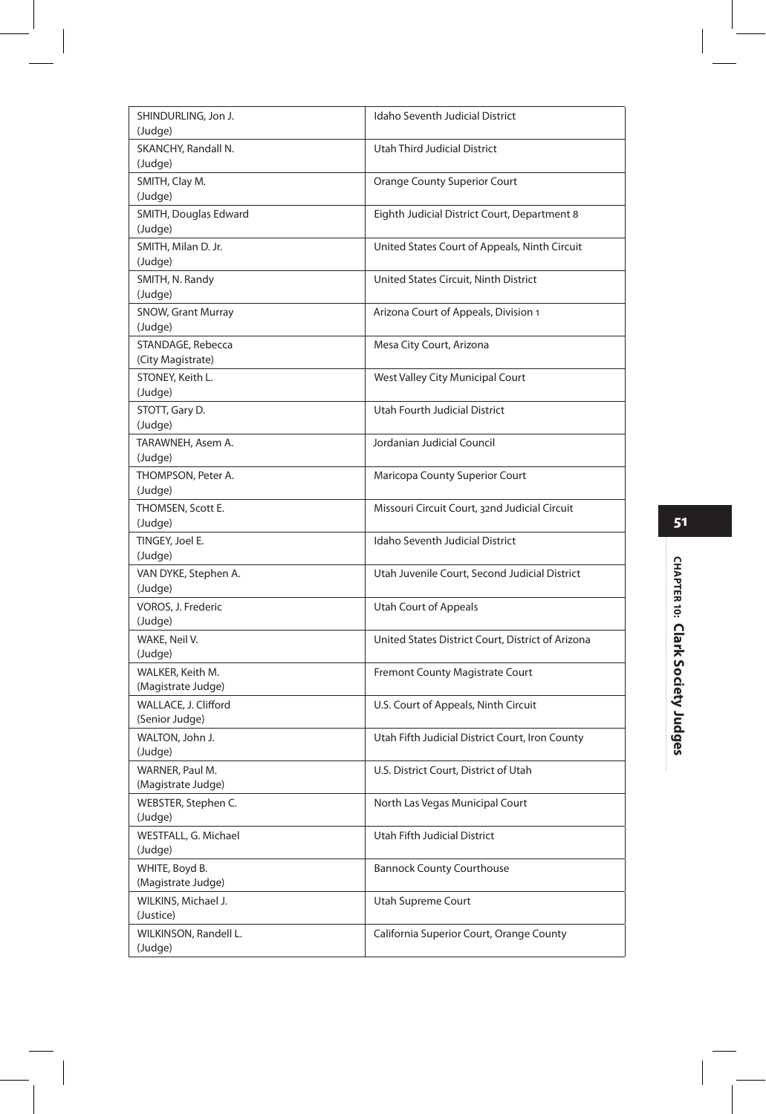| SHINDURLING, Jon J.<br>(Judge)         | Idaho Seventh Judicial District                   |
|----------------------------------------|---------------------------------------------------|
| SKANCHY, Randall N.<br>(Judge)         | <b>Utah Third Judicial District</b>               |
| SMITH, Clay M.<br>(Judge)              | <b>Orange County Superior Court</b>               |
| SMITH, Douglas Edward<br>(Judge)       | Eighth Judicial District Court, Department 8      |
| SMITH, Milan D. Jr.<br>(Judge)         | United States Court of Appeals, Ninth Circuit     |
| SMITH, N. Randy<br>(Judge)             | United States Circuit, Ninth District             |
| SNOW, Grant Murray<br>(Judge)          | Arizona Court of Appeals, Division 1              |
| STANDAGE, Rebecca<br>(City Magistrate) | Mesa City Court, Arizona                          |
| STONEY, Keith L.<br>(Judge)            | West Valley City Municipal Court                  |
| STOTT, Gary D.<br>(Judge)              | Utah Fourth Judicial District                     |
| TARAWNEH, Asem A.<br>(Judge)           | Jordanian Judicial Council                        |
| THOMPSON, Peter A.<br>(Judge)          | Maricopa County Superior Court                    |
| THOMSEN, Scott E.<br>(Judge)           | Missouri Circuit Court, 32nd Judicial Circuit     |
| TINGEY, Joel E.<br>(Judge)             | <b>Idaho Seventh Judicial District</b>            |
| VAN DYKE, Stephen A.<br>(Judge)        | Utah Juvenile Court, Second Judicial District     |
| VOROS, J. Frederic<br>(Judge)          | Utah Court of Appeals                             |
| WAKE, Neil V.<br>(Judge)               | United States District Court, District of Arizona |
| WALKER, Keith M.<br>(Magistrate Judge) | Fremont County Magistrate Court                   |
| WALLACE, J. Clifford<br>(Senior Judge) | U.S. Court of Appeals, Ninth Circuit              |
| WALTON, John J.<br>(Judge)             | Utah Fifth Judicial District Court, Iron County   |
| WARNER, Paul M.<br>(Magistrate Judge)  | U.S. District Court, District of Utah             |
| WEBSTER, Stephen C.<br>(Judge)         | North Las Vegas Municipal Court                   |
| WESTFALL, G. Michael<br>(Judge)        | Utah Fifth Judicial District                      |
| WHITE, Boyd B.<br>(Magistrate Judge)   | <b>Bannock County Courthouse</b>                  |
| WILKINS, Michael J.<br>(Justice)       | Utah Supreme Court                                |
| WILKINSON, Randell L.<br>(Judge)       | California Superior Court, Orange County          |
|                                        |                                                   |

### **51**

I

# CHAPTER 10: Clark Society Judges **CHAPTER 10: Clark Society Judges**

ŧ